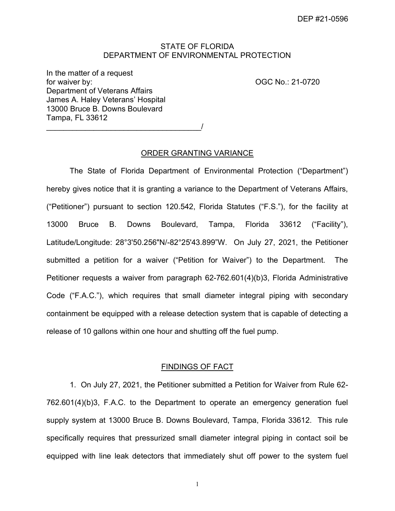# STATE OF FLORIDA DEPARTMENT OF ENVIRONMENTAL PROTECTION

 In the matter of a request for waiver by: Department of Veterans Affairs James A. Haley Veterans' Hospital 13000 Bruce B. Downs Boulevard Tampa, FL 33612

OGC No.: 21-0720

\_\_\_\_\_\_\_\_\_\_\_\_\_\_\_\_\_\_\_\_\_\_\_\_\_\_\_\_\_\_\_\_\_\_\_\_/

### ORDER GRANTING VARIANCE

 The State of Florida Department of Environmental Protection ("Department") hereby gives notice that it is granting a variance to the Department of Veterans Affairs, ("Petitioner") pursuant to section 120.542, Florida Statutes ("F.S."), for the facility at 13000 Bruce B. Downs Boulevard, Tampa, Florida 33612 ("Facility"), Latitude/Longitude: 28°3'50.256"N/-82°25'43.899"W. On July 27, 2021, the Petitioner submitted a petition for a waiver ("Petition for Waiver") to the Department. The Code ("F.A.C."), which requires that small diameter integral piping with secondary containment be equipped with a release detection system that is capable of detecting a release of 10 gallons within one hour and shutting off the fuel pump. Petitioner requests a waiver from paragraph 62-762.601(4)(b)3, Florida Administrative

## FINDINGS OF FACT

 1. On July 27, 2021, the Petitioner submitted a Petition for Waiver from Rule 62- 762.601(4)(b)3, F.A.C. to the Department to operate an emergency generation fuel supply system at 13000 Bruce B. Downs Boulevard, Tampa, Florida 33612. This rule specifically requires that pressurized small diameter integral piping in contact soil be equipped with line leak detectors that immediately shut off power to the system fuel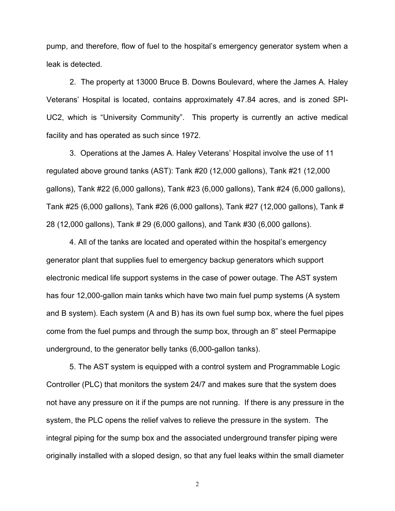pump, and therefore, flow of fuel to the hospital's emergency generator system when a leak is detected.

 2. The property at 13000 Bruce B. Downs Boulevard, where the James A. Haley Veterans' Hospital is located, contains approximately 47.84 acres, and is zoned SPI- UC2, which is "University Community". This property is currently an active medical facility and has operated as such since 1972.

 3. Operations at the James A. Haley Veterans' Hospital involve the use of 11 regulated above ground tanks (AST): Tank #20 (12,000 gallons), Tank #21 (12,000 gallons), Tank #22 (6,000 gallons), Tank #23 (6,000 gallons), Tank #24 (6,000 gallons), Tank #25 (6,000 gallons), Tank #26 (6,000 gallons), Tank #27 (12,000 gallons), Tank # 28 (12,000 gallons), Tank # 29 (6,000 gallons), and Tank #30 (6,000 gallons).

 4. All of the tanks are located and operated within the hospital's emergency generator plant that supplies fuel to emergency backup generators which support electronic medical life support systems in the case of power outage. The AST system has four 12,000-gallon main tanks which have two main fuel pump systems (A system and B system). Each system (A and B) has its own fuel sump box, where the fuel pipes come from the fuel pumps and through the sump box, through an 8" steel Permapipe underground, to the generator belly tanks (6,000-gallon tanks).

 5. The AST system is equipped with a control system and Programmable Logic Controller (PLC) that monitors the system 24/7 and makes sure that the system does not have any pressure on it if the pumps are not running. If there is any pressure in the system, the PLC opens the relief valves to relieve the pressure in the system. The integral piping for the sump box and the associated underground transfer piping were originally installed with a sloped design, so that any fuel leaks within the small diameter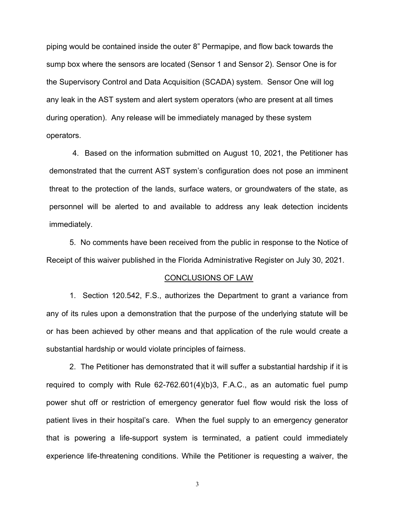piping would be contained inside the outer 8" Permapipe, and flow back towards the sump box where the sensors are located (Sensor 1 and Sensor 2). Sensor One is for the Supervisory Control and Data Acquisition (SCADA) system. Sensor One will log any leak in the AST system and alert system operators (who are present at all times during operation). Any release will be immediately managed by these system operators.

 4. Based on the information submitted on August 10, 2021, the Petitioner has demonstrated that the current AST system's configuration does not pose an imminent threat to the protection of the lands, surface waters, or groundwaters of the state, as personnel will be alerted to and available to address any leak detection incidents immediately.

 5. No comments have been received from the public in response to the Notice of Receipt of this waiver published in the Florida Administrative Register on July 30, 2021.

#### CONCLUSIONS OF LAW

 1. Section 120.542, F.S., authorizes the Department to grant a variance from any of its rules upon a demonstration that the purpose of the underlying statute will be or has been achieved by other means and that application of the rule would create a substantial hardship or would violate principles of fairness.

 2. The Petitioner has demonstrated that it will suffer a substantial hardship if it is required to comply with Rule 62-762.601(4)(b)3, F.A.C., as an automatic fuel pump power shut off or restriction of emergency generator fuel flow would risk the loss of patient lives in their hospital's care. When the fuel supply to an emergency generator that is powering a life-support system is terminated, a patient could immediately experience life-threatening conditions. While the Petitioner is requesting a waiver, the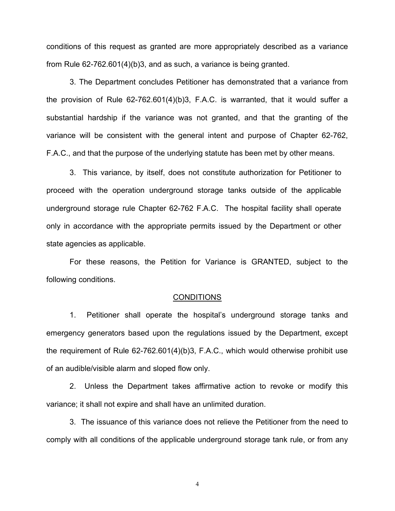conditions of this request as granted are more appropriately described as a variance from Rule 62-762.601(4)(b)3, and as such, a variance is being granted.

 3. The Department concludes Petitioner has demonstrated that a variance from the provision of Rule 62-762.601(4)(b)3, F.A.C. is warranted, that it would suffer a substantial hardship if the variance was not granted, and that the granting of the variance will be consistent with the general intent and purpose of Chapter 62-762, F.A.C., and that the purpose of the underlying statute has been met by other means.

 3. This variance, by itself, does not constitute authorization for Petitioner to proceed with the operation underground storage tanks outside of the applicable underground storage rule Chapter 62-762 F.A.C. The hospital facility shall operate only in accordance with the appropriate permits issued by the Department or other state agencies as applicable.

 For these reasons, the Petition for Variance is GRANTED, subject to the following conditions.

#### CONDITIONS

 1. Petitioner shall operate the hospital's underground storage tanks and emergency generators based upon the regulations issued by the Department, except the requirement of Rule 62-762.601(4)(b)3, F.A.C., which would otherwise prohibit use of an audible/visible alarm and sloped flow only.

 2. Unless the Department takes affirmative action to revoke or modify this variance; it shall not expire and shall have an unlimited duration.

 3. The issuance of this variance does not relieve the Petitioner from the need to comply with all conditions of the applicable underground storage tank rule, or from any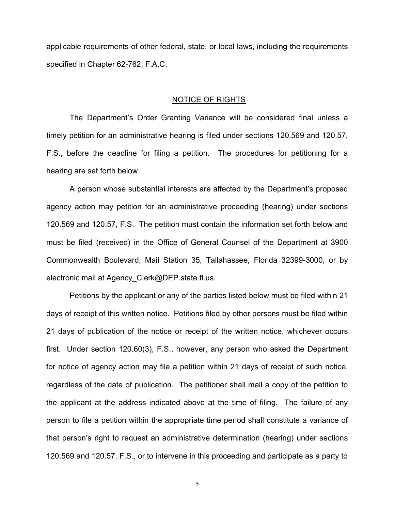applicable requirements of other federal, state, or local laws, including the requirements specified in Chapter 62-762, F.A.C.

#### NOTICE OF RIGHTS

 The Department's Order Granting Variance will be considered final unless a timely petition for an administrative hearing is filed under sections 120.569 and 120.57, F.S., before the deadline for filing a petition. The procedures for petitioning for a hearing are set forth below.

 agency action may petition for an administrative proceeding (hearing) under sections 120.569 and 120.57, F.S. The petition must contain the information set forth below and must be filed (received) in the Office of General Counsel of the Department at 3900 Commonwealth Boulevard, Mail Station 35, Tallahassee, Florida 32399-3000, or by electronic mail at [Agency\\_Clerk@DEP.state.fl.us](mailto:Agency_Clerk@DEP.state.fl.us). A person whose substantial interests are affected by the Department's proposed

 Petitions by the applicant or any of the parties listed below must be filed within 21 days of receipt of this written notice. Petitions filed by other persons must be filed within 21 days of publication of the notice or receipt of the written notice, whichever occurs first. Under section 120.60(3), F.S., however, any person who asked the Department for notice of agency action may file a petition within 21 days of receipt of such notice, regardless of the date of publication. The petitioner shall mail a copy of the petition to the applicant at the address indicated above at the time of filing. The failure of any person to file a petition within the appropriate time period shall constitute a variance of that person's right to request an administrative determination (hearing) under sections 120.569 and 120.57, F.S., or to intervene in this proceeding and participate as a party to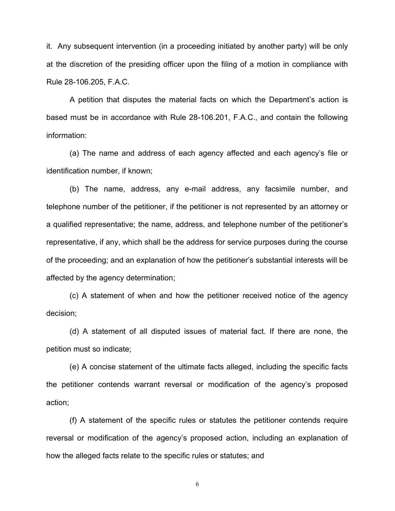it. Any subsequent intervention (in a proceeding initiated by another party) will be only at the discretion of the presiding officer upon the filing of a motion in compliance with Rule 28-106.205, F.A.C.

 based must be in accordance with Rule 28-106.201, F.A.C., and contain the following A petition that disputes the material facts on which the Department's action is information:

 identification number, if known; (a) The name and address of each agency affected and each agency's file or

 telephone number of the petitioner, if the petitioner is not represented by an attorney or a qualified representative; the name, address, and telephone number of the petitioner's representative, if any, which shall be the address for service purposes during the course of the proceeding; and an explanation of how the petitioner's substantial interests will be affected by the agency determination; (b) The name, address, any e-mail address, any facsimile number, and

(c) A statement of when and how the petitioner received notice of the agency decision;

 petition must so indicate; (d) A statement of all disputed issues of material fact. If there are none, the

 the petitioner contends warrant reversal or modification of the agency's proposed (e) A concise statement of the ultimate facts alleged, including the specific facts action;

 reversal or modification of the agency's proposed action, including an explanation of how the alleged facts relate to the specific rules or statutes; and (f) A statement of the specific rules or statutes the petitioner contends require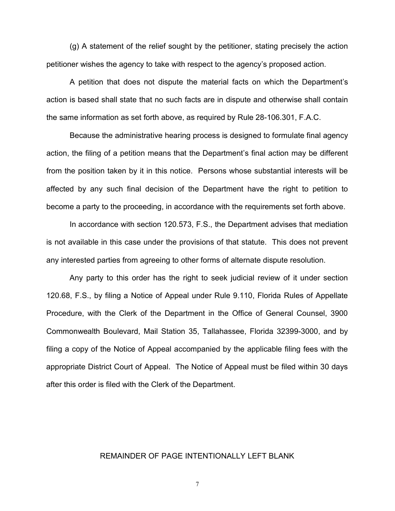(g) A statement of the relief sought by the petitioner, stating precisely the action petitioner wishes the agency to take with respect to the agency's proposed action.

 action is based shall state that no such facts are in dispute and otherwise shall contain the same information as set forth above, as required by Rule 28-106.301, F.A.C. A petition that does not dispute the material facts on which the Department's

 Because the administrative hearing process is designed to formulate final agency action, the filing of a petition means that the Department's final action may be different from the position taken by it in this notice. Persons whose substantial interests will be affected by any such final decision of the Department have the right to petition to become a party to the proceeding, in accordance with the requirements set forth above.

 is not available in this case under the provisions of that statute. This does not prevent any interested parties from agreeing to other forms of alternate dispute resolution. In accordance with section 120.573, F.S., the Department advises that mediation

 120.68, F.S., by filing a Notice of Appeal under Rule 9.110, Florida Rules of Appellate Procedure, with the Clerk of the Department in the Office of General Counsel, 3900 Commonwealth Boulevard, Mail Station 35, Tallahassee, Florida 32399-3000, and by filing a copy of the Notice of Appeal accompanied by the applicable filing fees with the appropriate District Court of Appeal. The Notice of Appeal must be filed within 30 days after this order is filed with the Clerk of the Department. Any party to this order has the right to seek judicial review of it under section

## REMAINDER OF PAGE INTENTIONALLY LEFT BLANK